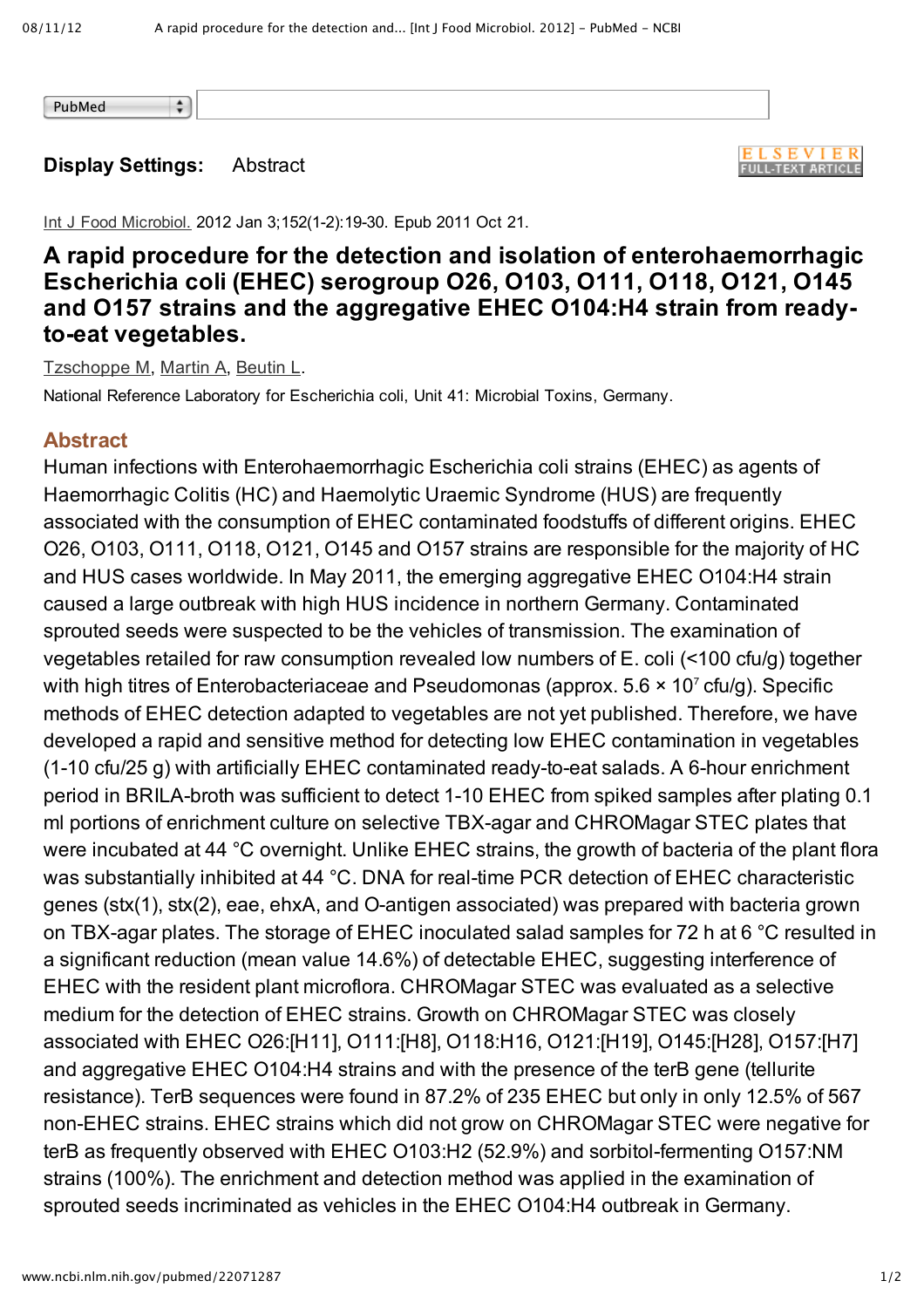PubMed

## **Display Settings:** Abstract

 $\frac{\bullet}{\mathbf{v}}$ 

**ELSEVIER FULL-TEXT ARTICLE** 

Int J Food Microbiol. 2012 Jan 3;152(1-2):19-30. Epub 2011 Oct 21.

## **A rapid procedure for the detection and isolation of enterohaemorrhagic Escherichia coli (EHEC) serogroup O26, O103, O111, O118, O121, O145 and O157 strains and the aggregative EHEC O104:H4 strain from readyto-eat vegetables.**

Tzschoppe M, Martin A, Beutin L.

National Reference Laboratory for Escherichia coli, Unit 41: Microbial Toxins, Germany.

## **Abstract**

Human infections with Enterohaemorrhagic Escherichia coli strains (EHEC) as agents of Haemorrhagic Colitis (HC) and Haemolytic Uraemic Syndrome (HUS) are frequently associated with the consumption of EHEC contaminated foodstuffs of different origins. EHEC O26, O103, O111, O118, O121, O145 and O157 strains are responsible for the majority of HC and HUS cases worldwide. In May 2011, the emerging aggregative EHEC O104:H4 strain caused a large outbreak with high HUS incidence in northern Germany. Contaminated sprouted seeds were suspected to be the vehicles of transmission. The examination of vegetables retailed for raw consumption revealed low numbers of E. coli (<100 cfu/g) together with high titres of Enterobacteriaceae and Pseudomonas (approx.  $5.6 \times 10^7$  cfu/g). Specific methods of EHEC detection adapted to vegetables are not yet published. Therefore, we have developed a rapid and sensitive method for detecting low EHEC contamination in vegetables  $(1-10 \text{ cfu}/25 \text{ g})$  with artificially EHEC contaminated ready-to-eat salads. A 6-hour enrichment period in BRILA-broth was sufficient to detect 1-10 EHEC from spiked samples after plating 0.1 ml portions of enrichment culture on selective TBX-agar and CHROMagar STEC plates that were incubated at 44 °C overnight. Unlike EHEC strains, the growth of bacteria of the plant flora was substantially inhibited at 44 °C. DNA for real-time PCR detection of EHEC characteristic genes (stx(1), stx(2), eae, ehxA, and O-antigen associated) was prepared with bacteria grown on TBX-agar plates. The storage of EHEC inoculated salad samples for 72 h at 6  $°C$  resulted in a significant reduction (mean value 14.6%) of detectable EHEC, suggesting interference of EHEC with the resident plant microflora. CHROMagar STEC was evaluated as a selective medium for the detection of EHEC strains. Growth on CHROMagar STEC was closely associated with EHEC O26:[H11], O111:[H8], O118:H16, O121:[H19], O145:[H28], O157:[H7] and aggregative EHEC O104:H4 strains and with the presence of the terB gene (tellurite resistance). TerB sequences were found in 87.2% of 235 EHEC but only in only 12.5% of 567 nonEHEC strains. EHEC strains which did not grow on CHROMagar STEC were negative for terB as frequently observed with EHEC O103:H2 (52.9%) and sorbitol-fermenting O157:NM strains (100%). The enrichment and detection method was applied in the examination of sprouted seeds incriminated as vehicles in the EHEC O104:H4 outbreak in Germany.